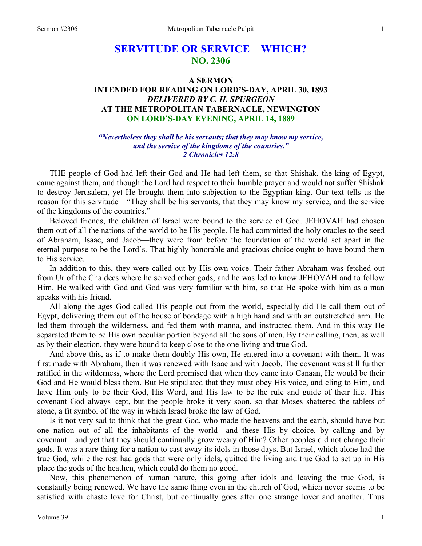# **SERVITUDE OR SERVICE—WHICH? NO. 2306**

# **A SERMON INTENDED FOR READING ON LORD'S-DAY, APRIL 30, 1893**  *DELIVERED BY C. H. SPURGEON*  **AT THE METROPOLITAN TABERNACLE, NEWINGTON ON LORD'S-DAY EVENING, APRIL 14, 1889**

### *"Nevertheless they shall be his servants; that they may know my service, and the service of the kingdoms of the countries." 2 Chronicles 12:8*

THE people of God had left their God and He had left them, so that Shishak, the king of Egypt, came against them, and though the Lord had respect to their humble prayer and would not suffer Shishak to destroy Jerusalem, yet He brought them into subjection to the Egyptian king. Our text tells us the reason for this servitude—"They shall be his servants; that they may know my service, and the service of the kingdoms of the countries."

Beloved friends, the children of Israel were bound to the service of God. JEHOVAH had chosen them out of all the nations of the world to be His people. He had committed the holy oracles to the seed of Abraham, Isaac, and Jacob—they were from before the foundation of the world set apart in the eternal purpose to be the Lord's. That highly honorable and gracious choice ought to have bound them to His service.

In addition to this, they were called out by His own voice. Their father Abraham was fetched out from Ur of the Chaldees where he served other gods, and he was led to know JEHOVAH and to follow Him. He walked with God and God was very familiar with him, so that He spoke with him as a man speaks with his friend.

All along the ages God called His people out from the world, especially did He call them out of Egypt, delivering them out of the house of bondage with a high hand and with an outstretched arm. He led them through the wilderness, and fed them with manna, and instructed them. And in this way He separated them to be His own peculiar portion beyond all the sons of men. By their calling, then, as well as by their election, they were bound to keep close to the one living and true God.

And above this, as if to make them doubly His own, He entered into a covenant with them. It was first made with Abraham, then it was renewed with Isaac and with Jacob. The covenant was still further ratified in the wilderness, where the Lord promised that when they came into Canaan, He would be their God and He would bless them. But He stipulated that they must obey His voice, and cling to Him, and have Him only to be their God, His Word, and His law to be the rule and guide of their life. This covenant God always kept, but the people broke it very soon, so that Moses shattered the tablets of stone, a fit symbol of the way in which Israel broke the law of God.

Is it not very sad to think that the great God, who made the heavens and the earth, should have but one nation out of all the inhabitants of the world—and these His by choice, by calling and by covenant—and yet that they should continually grow weary of Him? Other peoples did not change their gods. It was a rare thing for a nation to cast away its idols in those days. But Israel, which alone had the true God, while the rest had gods that were only idols, quitted the living and true God to set up in His place the gods of the heathen, which could do them no good.

Now, this phenomenon of human nature, this going after idols and leaving the true God, is constantly being renewed. We have the same thing even in the church of God, which never seems to be satisfied with chaste love for Christ, but continually goes after one strange lover and another. Thus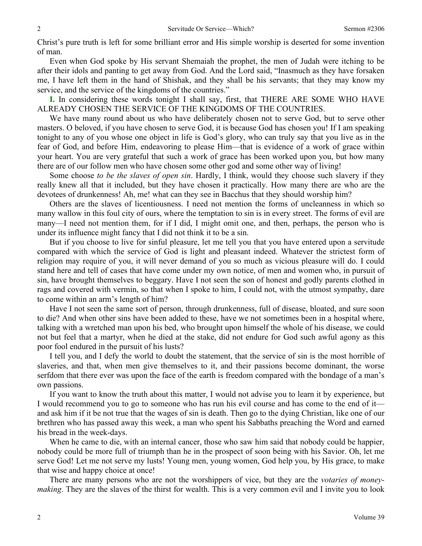Christ's pure truth is left for some brilliant error and His simple worship is deserted for some invention of man.

Even when God spoke by His servant Shemaiah the prophet, the men of Judah were itching to be after their idols and panting to get away from God. And the Lord said, "Inasmuch as they have forsaken me, I have left them in the hand of Shishak, and they shall be his servants; that they may know my service, and the service of the kingdoms of the countries."

**I.** In considering these words tonight I shall say, first, that THERE ARE SOME WHO HAVE ALREADY CHOSEN THE SERVICE OF THE KINGDOMS OF THE COUNTRIES.

We have many round about us who have deliberately chosen not to serve God, but to serve other masters. O beloved, if you have chosen to serve God, it is because God has chosen you! If I am speaking tonight to any of you whose one object in life is God's glory, who can truly say that you live as in the fear of God, and before Him, endeavoring to please Him—that is evidence of a work of grace within your heart. You are very grateful that such a work of grace has been worked upon you, but how many there are of our follow men who have chosen some other god and some other way of living!

Some choose *to be the slaves of open sin*. Hardly, I think, would they choose such slavery if they really knew all that it included, but they have chosen it practically. How many there are who are the devotees of drunkenness! Ah, me! what can they see in Bacchus that they should worship him?

Others are the slaves of licentiousness. I need not mention the forms of uncleanness in which so many wallow in this foul city of ours, where the temptation to sin is in every street. The forms of evil are many—I need not mention them, for if I did, I might omit one, and then, perhaps, the person who is under its influence might fancy that I did not think it to be a sin.

But if you choose to live for sinful pleasure, let me tell you that you have entered upon a servitude compared with which the service of God is light and pleasant indeed. Whatever the strictest form of religion may require of you, it will never demand of you so much as vicious pleasure will do. I could stand here and tell of cases that have come under my own notice, of men and women who, in pursuit of sin, have brought themselves to beggary. Have I not seen the son of honest and godly parents clothed in rags and covered with vermin, so that when I spoke to him, I could not, with the utmost sympathy, dare to come within an arm's length of him?

Have I not seen the same sort of person, through drunkenness, full of disease, bloated, and sure soon to die? And when other sins have been added to these, have we not sometimes been in a hospital where, talking with a wretched man upon his bed, who brought upon himself the whole of his disease, we could not but feel that a martyr, when he died at the stake, did not endure for God such awful agony as this poor fool endured in the pursuit of his lusts?

I tell you, and I defy the world to doubt the statement, that the service of sin is the most horrible of slaveries, and that, when men give themselves to it, and their passions become dominant, the worse serfdom that there ever was upon the face of the earth is freedom compared with the bondage of a man's own passions.

If you want to know the truth about this matter, I would not advise you to learn it by experience, but I would recommend you to go to someone who has run his evil course and has come to the end of it and ask him if it be not true that the wages of sin is death. Then go to the dying Christian, like one of our brethren who has passed away this week, a man who spent his Sabbaths preaching the Word and earned his bread in the week-days.

When he came to die, with an internal cancer, those who saw him said that nobody could be happier, nobody could be more full of triumph than he in the prospect of soon being with his Savior. Oh, let me serve God! Let me not serve my lusts! Young men, young women, God help you, by His grace, to make that wise and happy choice at once!

There are many persons who are not the worshippers of vice, but they are the *votaries of moneymaking*. They are the slaves of the thirst for wealth. This is a very common evil and I invite you to look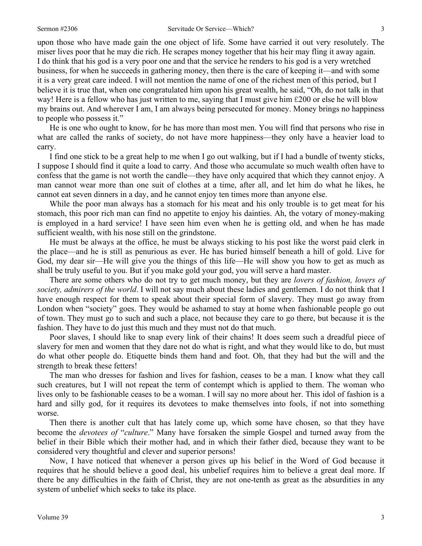upon those who have made gain the one object of life. Some have carried it out very resolutely. The miser lives poor that he may die rich. He scrapes money together that his heir may fling it away again. I do think that his god is a very poor one and that the service he renders to his god is a very wretched business, for when he succeeds in gathering money, then there is the care of keeping it—and with some it is a very great care indeed. I will not mention the name of one of the richest men of this period, but I believe it is true that, when one congratulated him upon his great wealth, he said, "Oh, do not talk in that way! Here is a fellow who has just written to me, saying that I must give him £200 or else he will blow my brains out. And wherever I am, I am always being persecuted for money. Money brings no happiness to people who possess it."

He is one who ought to know, for he has more than most men. You will find that persons who rise in what are called the ranks of society, do not have more happiness—they only have a heavier load to carry.

I find one stick to be a great help to me when I go out walking, but if I had a bundle of twenty sticks, I suppose I should find it quite a load to carry. And those who accumulate so much wealth often have to confess that the game is not worth the candle—they have only acquired that which they cannot enjoy. A man cannot wear more than one suit of clothes at a time, after all, and let him do what he likes, he cannot eat seven dinners in a day, and he cannot enjoy ten times more than anyone else.

While the poor man always has a stomach for his meat and his only trouble is to get meat for his stomach, this poor rich man can find no appetite to enjoy his dainties. Ah, the votary of money-making is employed in a hard service! I have seen him even when he is getting old, and when he has made sufficient wealth, with his nose still on the grindstone.

He must be always at the office, he must be always sticking to his post like the worst paid clerk in the place—and he is still as penurious as ever. He has buried himself beneath a hill of gold. Live for God, my dear sir—He will give you the things of this life—He will show you how to get as much as shall be truly useful to you. But if you make gold your god, you will serve a hard master.

There are some others who do not try to get much money, but they are *lovers of fashion, lovers of society, admirers of the world*. I will not say much about these ladies and gentlemen. I do not think that I have enough respect for them to speak about their special form of slavery. They must go away from London when "society" goes. They would be ashamed to stay at home when fashionable people go out of town. They must go to such and such a place, not because they care to go there, but because it is the fashion. They have to do just this much and they must not do that much.

Poor slaves, I should like to snap every link of their chains! It does seem such a dreadful piece of slavery for men and women that they dare not do what is right, and what they would like to do, but must do what other people do. Etiquette binds them hand and foot. Oh, that they had but the will and the strength to break these fetters!

The man who dresses for fashion and lives for fashion, ceases to be a man. I know what they call such creatures, but I will not repeat the term of contempt which is applied to them. The woman who lives only to be fashionable ceases to be a woman. I will say no more about her. This idol of fashion is a hard and silly god, for it requires its devotees to make themselves into fools, if not into something worse.

Then there is another cult that has lately come up, which some have chosen, so that they have become the *devotees of* "*culture*." Many have forsaken the simple Gospel and turned away from the belief in their Bible which their mother had, and in which their father died, because they want to be considered very thoughtful and clever and superior persons!

Now, I have noticed that whenever a person gives up his belief in the Word of God because it requires that he should believe a good deal, his unbelief requires him to believe a great deal more. If there be any difficulties in the faith of Christ, they are not one-tenth as great as the absurdities in any system of unbelief which seeks to take its place.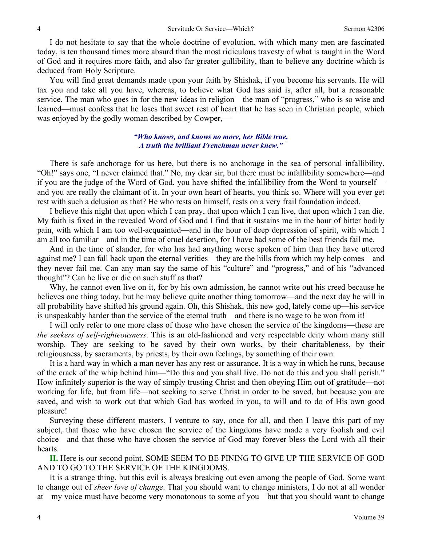I do not hesitate to say that the whole doctrine of evolution, with which many men are fascinated today, is ten thousand times more absurd than the most ridiculous travesty of what is taught in the Word of God and it requires more faith, and also far greater gullibility, than to believe any doctrine which is deduced from Holy Scripture.

You will find great demands made upon your faith by Shishak, if you become his servants. He will tax you and take all you have, whereas, to believe what God has said is, after all, but a reasonable service. The man who goes in for the new ideas in religion—the man of "progress," who is so wise and learned—must confess that he loses that sweet rest of heart that he has seen in Christian people, which was enjoyed by the godly woman described by Cowper,—

#### *"Who knows, and knows no more, her Bible true, A truth the brilliant Frenchman never knew."*

There is safe anchorage for us here, but there is no anchorage in the sea of personal infallibility. "Oh!" says one, "I never claimed that." No, my dear sir, but there must be infallibility somewhere—and if you are the judge of the Word of God, you have shifted the infallibility from the Word to yourself and you are really the claimant of it. In your own heart of hearts, you think so. Where will you ever get rest with such a delusion as that? He who rests on himself, rests on a very frail foundation indeed.

I believe this night that upon which I can pray, that upon which I can live, that upon which I can die. My faith is fixed in the revealed Word of God and I find that it sustains me in the hour of bitter bodily pain, with which I am too well-acquainted—and in the hour of deep depression of spirit, with which I am all too familiar—and in the time of cruel desertion, for I have had some of the best friends fail me.

And in the time of slander, for who has had anything worse spoken of him than they have uttered against me? I can fall back upon the eternal verities—they are the hills from which my help comes—and they never fail me. Can any man say the same of his "culture" and "progress," and of his "advanced thought"? Can he live or die on such stuff as that?

Why, he cannot even live on it, for by his own admission, he cannot write out his creed because he believes one thing today, but he may believe quite another thing tomorrow—and the next day he will in all probability have shifted his ground again. Oh, this Shishak, this new god, lately come up—his service is unspeakably harder than the service of the eternal truth—and there is no wage to be won from it!

I will only refer to one more class of those who have chosen the service of the kingdoms—these are *the seekers of self-righteousness*. This is an old-fashioned and very respectable deity whom many still worship. They are seeking to be saved by their own works, by their charitableness, by their religiousness, by sacraments, by priests, by their own feelings, by something of their own.

It is a hard way in which a man never has any rest or assurance. It is a way in which he runs, because of the crack of the whip behind him—"Do this and you shall live. Do not do this and you shall perish." How infinitely superior is the way of simply trusting Christ and then obeying Him out of gratitude—not working for life, but from life—not seeking to serve Christ in order to be saved, but because you are saved, and wish to work out that which God has worked in you, to will and to do of His own good pleasure!

Surveying these different masters, I venture to say, once for all, and then I leave this part of my subject, that those who have chosen the service of the kingdoms have made a very foolish and evil choice—and that those who have chosen the service of God may forever bless the Lord with all their hearts.

**II.** Here is our second point. SOME SEEM TO BE PINING TO GIVE UP THE SERVICE OF GOD AND TO GO TO THE SERVICE OF THE KINGDOMS.

It is a strange thing, but this evil is always breaking out even among the people of God. Some want to change out of *sheer love of change*. That you should want to change ministers, I do not at all wonder at—my voice must have become very monotonous to some of you—but that you should want to change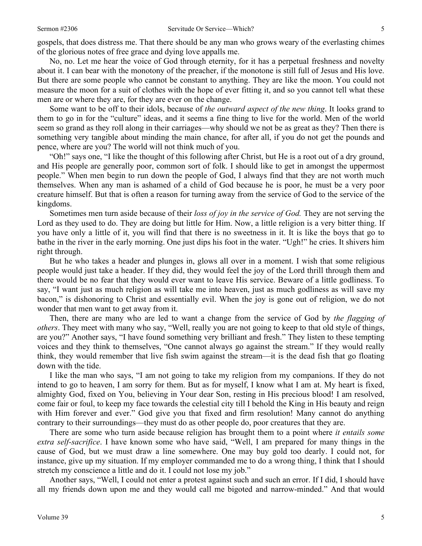gospels, that does distress me. That there should be any man who grows weary of the everlasting chimes of the glorious notes of free grace and dying love appalls me.

No, no. Let me hear the voice of God through eternity, for it has a perpetual freshness and novelty about it. I can bear with the monotony of the preacher, if the monotone is still full of Jesus and His love. But there are some people who cannot be constant to anything. They are like the moon. You could not measure the moon for a suit of clothes with the hope of ever fitting it, and so you cannot tell what these men are or where they are, for they are ever on the change.

Some want to be off to their idols, because of *the outward aspect of the new thing*. It looks grand to them to go in for the "culture" ideas, and it seems a fine thing to live for the world. Men of the world seem so grand as they roll along in their carriages—why should we not be as great as they? Then there is something very tangible about minding the main chance, for after all, if you do not get the pounds and pence, where are you? The world will not think much of you.

"Oh!" says one, "I like the thought of this following after Christ, but He is a root out of a dry ground, and His people are generally poor, common sort of folk. I should like to get in amongst the uppermost people." When men begin to run down the people of God, I always find that they are not worth much themselves. When any man is ashamed of a child of God because he is poor, he must be a very poor creature himself. But that is often a reason for turning away from the service of God to the service of the kingdoms.

Sometimes men turn aside because of their *loss of joy in the service of God.* They are not serving the Lord as they used to do. They are doing but little for Him. Now, a little religion is a very bitter thing. If you have only a little of it, you will find that there is no sweetness in it. It is like the boys that go to bathe in the river in the early morning. One just dips his foot in the water. "Ugh!" he cries. It shivers him right through.

But he who takes a header and plunges in, glows all over in a moment. I wish that some religious people would just take a header. If they did, they would feel the joy of the Lord thrill through them and there would be no fear that they would ever want to leave His service. Beware of a little godliness. To say, "I want just as much religion as will take me into heaven, just as much godliness as will save my bacon," is dishonoring to Christ and essentially evil. When the joy is gone out of religion, we do not wonder that men want to get away from it.

Then, there are many who are led to want a change from the service of God by *the flagging of others*. They meet with many who say, "Well, really you are not going to keep to that old style of things, are you?" Another says, "I have found something very brilliant and fresh." They listen to these tempting voices and they think to themselves, "One cannot always go against the stream." If they would really think, they would remember that live fish swim against the stream—it is the dead fish that go floating down with the tide.

I like the man who says, "I am not going to take my religion from my companions. If they do not intend to go to heaven, I am sorry for them. But as for myself, I know what I am at. My heart is fixed, almighty God, fixed on You, believing in Your dear Son, resting in His precious blood! I am resolved, come fair or foul, to keep my face towards the celestial city till I behold the King in His beauty and reign with Him forever and ever." God give you that fixed and firm resolution! Many cannot do anything contrary to their surroundings—they must do as other people do, poor creatures that they are.

There are some who turn aside because religion has brought them to a point where *it entails some extra self-sacrifice*. I have known some who have said, "Well, I am prepared for many things in the cause of God, but we must draw a line somewhere. One may buy gold too dearly. I could not, for instance, give up my situation. If my employer commanded me to do a wrong thing, I think that I should stretch my conscience a little and do it. I could not lose my job."

Another says, "Well, I could not enter a protest against such and such an error. If I did, I should have all my friends down upon me and they would call me bigoted and narrow-minded." And that would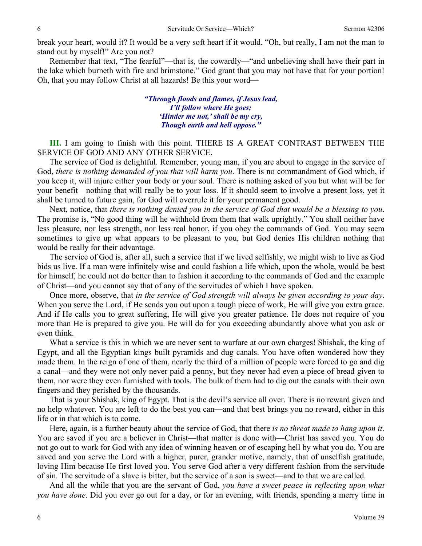break your heart, would it? It would be a very soft heart if it would. "Oh, but really, I am not the man to stand out by myself!" Are you not?

Remember that text, "The fearful"—that is, the cowardly—"and unbelieving shall have their part in the lake which burneth with fire and brimstone." God grant that you may not have that for your portion! Oh, that you may follow Christ at all hazards! Be this your word—

> *"Through floods and flames, if Jesus lead, I'll follow where He goes; 'Hinder me not,' shall be my cry, Though earth and hell oppose."*

**III.** I am going to finish with this point. THERE IS A GREAT CONTRAST BETWEEN THE SERVICE OF GOD AND ANY OTHER SERVICE.

The service of God is delightful. Remember, young man, if you are about to engage in the service of God, *there is nothing demanded of you that will harm you*. There is no commandment of God which, if you keep it, will injure either your body or your soul. There is nothing asked of you but what will be for your benefit—nothing that will really be to your loss. If it should seem to involve a present loss, yet it shall be turned to future gain, for God will overrule it for your permanent good.

Next, notice, that *there is nothing denied you in the service of God that would be a blessing to you*. The promise is, "No good thing will he withhold from them that walk uprightly." You shall neither have less pleasure, nor less strength, nor less real honor, if you obey the commands of God. You may seem sometimes to give up what appears to be pleasant to you, but God denies His children nothing that would be really for their advantage.

The service of God is, after all, such a service that if we lived selfishly, we might wish to live as God bids us live. If a man were infinitely wise and could fashion a life which, upon the whole, would be best for himself, he could not do better than to fashion it according to the commands of God and the example of Christ—and you cannot say that of any of the servitudes of which I have spoken.

Once more, observe, that *in the service of God strength will always be given according to your day*. When you serve the Lord, if He sends you out upon a tough piece of work, He will give you extra grace. And if He calls you to great suffering, He will give you greater patience. He does not require of you more than He is prepared to give you. He will do for you exceeding abundantly above what you ask or even think.

What a service is this in which we are never sent to warfare at our own charges! Shishak, the king of Egypt, and all the Egyptian kings built pyramids and dug canals. You have often wondered how they made them. In the reign of one of them, nearly the third of a million of people were forced to go and dig a canal—and they were not only never paid a penny, but they never had even a piece of bread given to them, nor were they even furnished with tools. The bulk of them had to dig out the canals with their own fingers and they perished by the thousands.

That is your Shishak, king of Egypt. That is the devil's service all over. There is no reward given and no help whatever. You are left to do the best you can—and that best brings you no reward, either in this life or in that which is to come.

Here, again, is a further beauty about the service of God, that there *is no threat made to hang upon it*. You are saved if you are a believer in Christ—that matter is done with—Christ has saved you. You do not go out to work for God with any idea of winning heaven or of escaping hell by what you do. You are saved and you serve the Lord with a higher, purer, grander motive, namely, that of unselfish gratitude, loving Him because He first loved you. You serve God after a very different fashion from the servitude of sin. The servitude of a slave is bitter, but the service of a son is sweet—and to that we are called.

And all the while that you are the servant of God, *you have a sweet peace in reflecting upon what you have done*. Did you ever go out for a day, or for an evening, with friends, spending a merry time in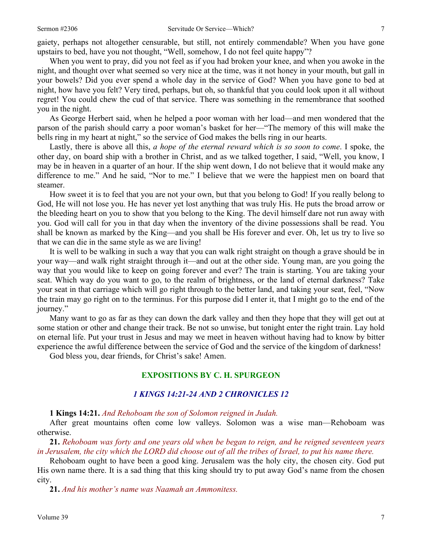gaiety, perhaps not altogether censurable, but still, not entirely commendable? When you have gone upstairs to bed, have you not thought, "Well, somehow, I do not feel quite happy"?

When you went to pray, did you not feel as if you had broken your knee, and when you awoke in the night, and thought over what seemed so very nice at the time, was it not honey in your mouth, but gall in your bowels? Did you ever spend a whole day in the service of God? When you have gone to bed at night, how have you felt? Very tired, perhaps, but oh, so thankful that you could look upon it all without regret! You could chew the cud of that service. There was something in the remembrance that soothed you in the night.

As George Herbert said, when he helped a poor woman with her load—and men wondered that the parson of the parish should carry a poor woman's basket for her—"The memory of this will make the bells ring in my heart at night," so the service of God makes the bells ring in our hearts.

Lastly, there is above all this, *a hope of the eternal reward which is so soon to come*. I spoke, the other day, on board ship with a brother in Christ, and as we talked together, I said, "Well, you know, I may be in heaven in a quarter of an hour. If the ship went down, I do not believe that it would make any difference to me." And he said, "Nor to me." I believe that we were the happiest men on board that steamer.

How sweet it is to feel that you are not your own, but that you belong to God! If you really belong to God, He will not lose you. He has never yet lost anything that was truly His. He puts the broad arrow or the bleeding heart on you to show that you belong to the King. The devil himself dare not run away with you. God will call for you in that day when the inventory of the divine possessions shall be read. You shall be known as marked by the King—and you shall be His forever and ever. Oh, let us try to live so that we can die in the same style as we are living!

It is well to be walking in such a way that you can walk right straight on though a grave should be in your way—and walk right straight through it—and out at the other side. Young man, are you going the way that you would like to keep on going forever and ever? The train is starting. You are taking your seat. Which way do you want to go, to the realm of brightness, or the land of eternal darkness? Take your seat in that carriage which will go right through to the better land, and taking your seat, feel, "Now the train may go right on to the terminus. For this purpose did I enter it, that I might go to the end of the journey."

Many want to go as far as they can down the dark valley and then they hope that they will get out at some station or other and change their track. Be not so unwise, but tonight enter the right train. Lay hold on eternal life. Put your trust in Jesus and may we meet in heaven without having had to know by bitter experience the awful difference between the service of God and the service of the kingdom of darkness!

God bless you, dear friends, for Christ's sake! Amen.

# **EXPOSITIONS BY C. H. SPURGEON**

### *1 KINGS 14:21-24 AND 2 CHRONICLES 12*

**1 Kings 14:21.** *And Rehoboam the son of Solomon reigned in Judah.* 

After great mountains often come low valleys. Solomon was a wise man—Rehoboam was otherwise.

**21.** *Rehoboam was forty and one years old when be began to reign, and he reigned seventeen years in Jerusalem, the city which the LORD did choose out of all the tribes of Israel, to put his name there.* 

Rehoboam ought to have been a good king. Jerusalem was the holy city, the chosen city. God put His own name there. It is a sad thing that this king should try to put away God's name from the chosen city.

**21.** *And his mother's name was Naamah an Ammonitess.*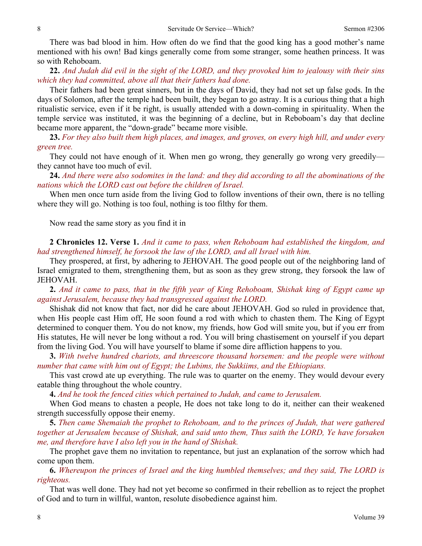There was bad blood in him. How often do we find that the good king has a good mother's name mentioned with his own! Bad kings generally come from some stranger, some heathen princess. It was so with Rehoboam.

**22.** *And Judah did evil in the sight of the LORD, and they provoked him to jealousy with their sins which they had committed, above all that their fathers had done.* 

Their fathers had been great sinners, but in the days of David, they had not set up false gods. In the days of Solomon, after the temple had been built, they began to go astray. It is a curious thing that a high ritualistic service, even if it be right, is usually attended with a down-coming in spirituality. When the temple service was instituted, it was the beginning of a decline, but in Reboboam's day that decline became more apparent, the "down-grade" became more visible.

**23.** *For they also built them high places, and images, and groves, on every high hill, and under every green tree.* 

They could not have enough of it. When men go wrong, they generally go wrong very greedily they cannot have too much of evil.

**24.** *And there were also sodomites in the land: and they did according to all the abominations of the nations which the LORD cast out before the children of Israel.* 

When men once turn aside from the living God to follow inventions of their own, there is no telling where they will go. Nothing is too foul, nothing is too filthy for them.

Now read the same story as you find it in

**2 Chronicles 12. Verse 1.** *And it came to pass, when Rehoboam had established the kingdom, and had strengthened himself, he forsook the law of the LORD, and all Israel with him.* 

They prospered, at first, by adhering to JEHOVAH. The good people out of the neighboring land of Israel emigrated to them, strengthening them, but as soon as they grew strong, they forsook the law of JEHOVAH.

**2.** *And it came to pass, that in the fifth year of King Rehoboam, Shishak king of Egypt came up against Jerusalem, because they had transgressed against the LORD.* 

Shishak did not know that fact, nor did he care about JEHOVAH. God so ruled in providence that, when His people cast Him off, He soon found a rod with which to chasten them. The King of Egypt determined to conquer them. You do not know, my friends, how God will smite you, but if you err from His statutes, He will never be long without a rod. You will bring chastisement on yourself if you depart from the living God. You will have yourself to blame if some dire affliction happens to you.

**3.** *With twelve hundred chariots, and threescore thousand horsemen: and the people were without number that came with him out of Egypt; the Lubims, the Sukkiims, and the Ethiopians.* 

This vast crowd ate up everything. The rule was to quarter on the enemy. They would devour every eatable thing throughout the whole country.

**4.** *And he took the fenced cities which pertained to Judah, and came to Jerusalem.* 

When God means to chasten a people, He does not take long to do it, neither can their weakened strength successfully oppose their enemy.

**5.** *Then came Shemaiah the prophet to Rehoboam, and to the princes of Judah, that were gathered together at Jerusalem because of Shishak, and said unto them, Thus saith the LORD, Ye have forsaken me, and therefore have I also left you in the hand of Shishak.* 

The prophet gave them no invitation to repentance, but just an explanation of the sorrow which had come upon them.

**6.** *Whereupon the princes of Israel and the king humbled themselves; and they said, The LORD is righteous.* 

That was well done. They had not yet become so confirmed in their rebellion as to reject the prophet of God and to turn in willful, wanton, resolute disobedience against him.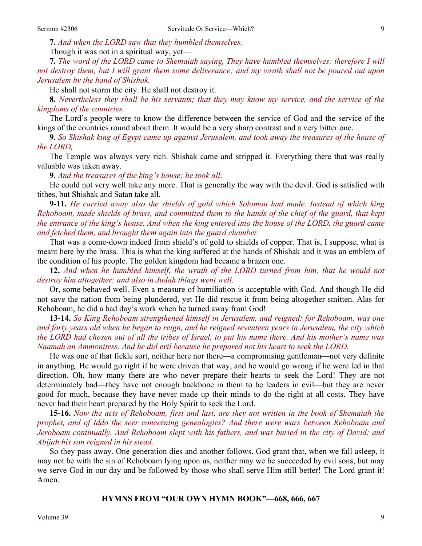**7.** *And when the LORD saw that they humbled themselves,* 

Though it was not in a spiritual way, yet—

**7.** *The word of the LORD came to Shemaiah saying, They have humbled themselves: therefore I will not destroy them, but I will grant them some deliverance; and my wrath shall not be poured out upon Jerusalem by the hand of Shishak.* 

He shall not storm the city. He shall not destroy it.

**8.** *Nevertheless they shall be his servants; that they may know my service, and the service of the kingdoms of the countries.* 

The Lord's people were to know the difference between the service of God and the service of the kings of the countries round about them. It would be a very sharp contrast and a very bitter one.

**9.** *So Shishak king of Egypt came up against Jerusalem, and took away the treasures of the house of the LORD,* 

The Temple was always very rich. Shishak came and stripped it. Everything there that was really valuable was taken away.

**9.** *And the treasures of the king's house; he took all:* 

He could not very well take any more. That is generally the way with the devil. God is satisfied with tithes, but Shishak and Satan take all.

**9-11.** *He carried away also the shields of gold which Solomon had made. Instead of which king Rehoboam, made shields of brass, and committed them to the hands of the chief of the guard, that kept the entrance of the king's house. And when the king entered into the house of the LORD, the guard came and fetched them, and brought them again into the guard chamber.* 

That was a come-down indeed from shield's of gold to shields of copper. That is, I suppose, what is meant here by the brass. This is what the king suffered at the hands of Shishak and it was an emblem of the condition of his people. The golden kingdom had became a brazen one.

**12.** *And when he humbled himself, the wrath of the LORD turned from him, that he would not destroy him altogether: and also in Judah things went well.* 

Or, some behaved well. Even a measure of humiliation is acceptable with God. And though He did not save the nation from being plundered, yet He did rescue it from being altogether smitten. Alas for Rehoboam, he did a bad day's work when he turned away from God!

**13-14.** *So King Rehoboam strengthened himself in Jerusalem, and reigned: for Rehoboam, was one and forty years old when he began to reign, and he reigned seventeen years in Jerusalem, the city which the LORD had chosen out of all the tribes of Israel, to put his name there. And his mother's name was Naamah an Ammonitess. And he did evil because he prepared not his heart to seek the LORD.* 

He was one of that fickle sort, neither here nor there—a compromising gentleman—not very definite in anything. He would go right if he were driven that way, and he would go wrong if he were led in that direction. Oh, how many there are who never prepare their hearts to seek the Lord! They are not determinately bad—they have not enough backbone in them to be leaders in evil—but they are never good for much, because they have never made up their minds to do the right at all costs. They have never had their heart prepared by the Holy Spirit to seek the Lord.

**15-16.** *Now the acts of Rehoboam, first and last, are they not written in the book of Shemaiah the prophet, and of Iddo the seer concerning genealogies? And there were wars between Rehoboam and Jeroboam continually. And Rehoboam slept with his fathers, and was buried in the city of David: and Abijah his son reigned in his stead.* 

So they pass away. One generation dies and another follows. God grant that, when we fall asleep, it may not be with the sin of Rehoboam lying upon us, neither may we be succeeded by evil sons, but may we serve God in our day and be followed by those who shall serve Him still better! The Lord grant it! Amen.

#### **HYMNS FROM "OUR OWN HYMN BOOK"—668, 666, 667**